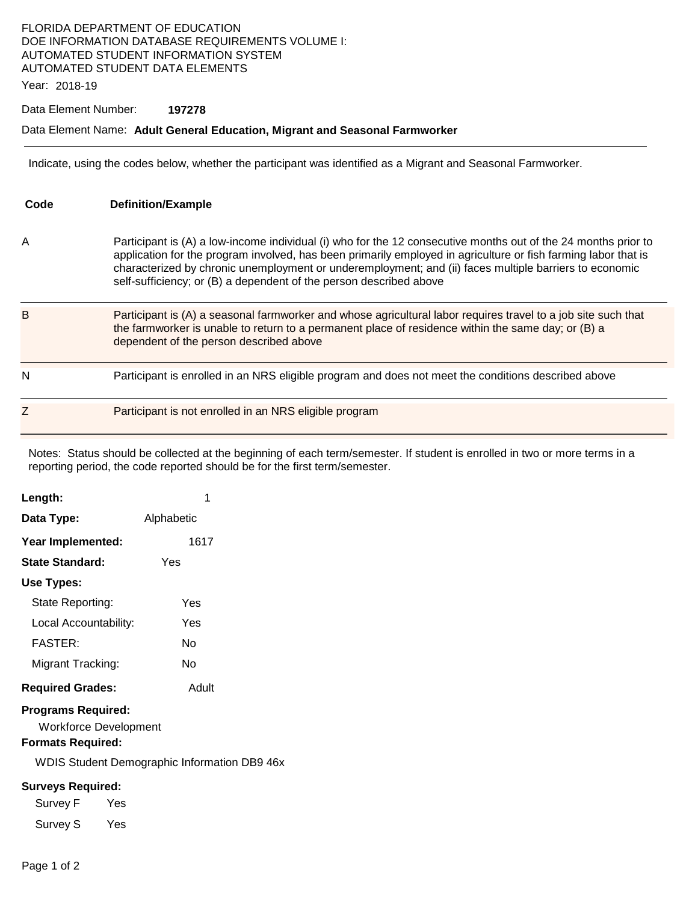## FLORIDA DEPARTMENT OF EDUCATION DOE INFORMATION DATABASE REQUIREMENTS VOLUME I: AUTOMATED STUDENT INFORMATION SYSTEM AUTOMATED STUDENT DATA ELEMENTS

Year: 2018-19

### Data Element Number: **197278**

#### Data Element Name: **Adult General Education, Migrant and Seasonal Farmworker**

Indicate, using the codes below, whether the participant was identified as a Migrant and Seasonal Farmworker.

| Code | <b>Definition/Example</b>                                                                                                                                                                                                                                                                                                                                                                                        |
|------|------------------------------------------------------------------------------------------------------------------------------------------------------------------------------------------------------------------------------------------------------------------------------------------------------------------------------------------------------------------------------------------------------------------|
| Α    | Participant is (A) a low-income individual (i) who for the 12 consecutive months out of the 24 months prior to<br>application for the program involved, has been primarily employed in agriculture or fish farming labor that is<br>characterized by chronic unemployment or underemployment; and (ii) faces multiple barriers to economic<br>self-sufficiency; or (B) a dependent of the person described above |
| B    | Participant is (A) a seasonal farmworker and whose agricultural labor requires travel to a job site such that<br>the farmworker is unable to return to a permanent place of residence within the same day; or (B) a<br>dependent of the person described above                                                                                                                                                   |
| N    | Participant is enrolled in an NRS eligible program and does not meet the conditions described above                                                                                                                                                                                                                                                                                                              |
| Ζ    | Participant is not enrolled in an NRS eligible program                                                                                                                                                                                                                                                                                                                                                           |

Notes: Status should be collected at the beginning of each term/semester. If student is enrolled in two or more terms in a reporting period, the code reported should be for the first term/semester.

| Length:                                                                        | 1                                            |  |
|--------------------------------------------------------------------------------|----------------------------------------------|--|
| Data Type:                                                                     | Alphabetic                                   |  |
| Year Implemented:                                                              | 1617                                         |  |
| State Standard:                                                                | Yes                                          |  |
| Use Types:                                                                     |                                              |  |
| State Reporting:                                                               | Yes                                          |  |
| Local Accountability:                                                          | Yes                                          |  |
| <b>FASTER:</b>                                                                 | Nο                                           |  |
| Migrant Tracking:                                                              | No                                           |  |
| <b>Required Grades:</b>                                                        | Adult                                        |  |
| <b>Programs Required:</b><br>Workforce Development<br><b>Formats Required:</b> |                                              |  |
|                                                                                | WDIS Student Demographic Information DB9 46x |  |
| <b>Surveys Required:</b>                                                       |                                              |  |
| Survey F                                                                       | Yes                                          |  |
| Survey S Yes                                                                   |                                              |  |
|                                                                                |                                              |  |